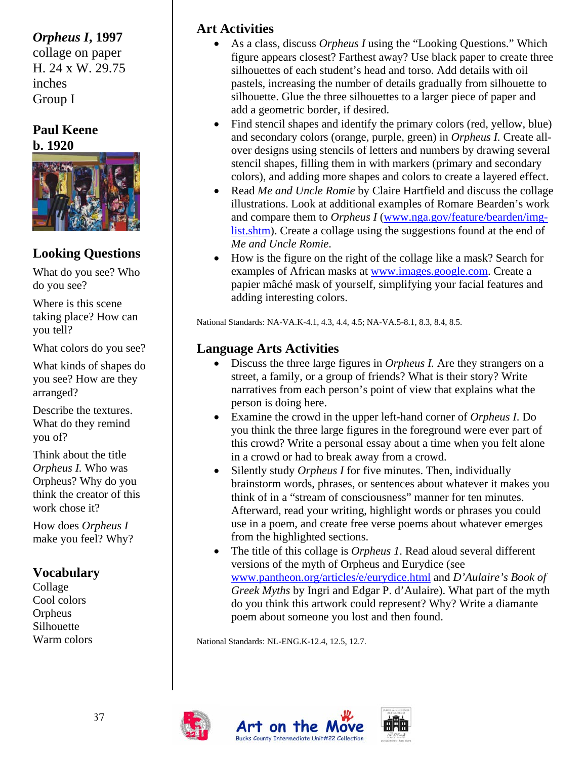## *Orpheus I***, 1997**

collage on paper H. 24 x W. 29.75 inches Group I

#### **Paul Keene b. 1920**



## **Looking Questions**

What do you see? Who do you see?

Where is this scene taking place? How can you tell?

What colors do you see?

What kinds of shapes do you see? How are they arranged?

Describe the textures. What do they remind you of?

Think about the title *Orpheus I.* Who was Orpheus? Why do you think the creator of this work chose it?

How does *Orpheus I* make you feel? Why?

Collage Cool colors Orpheus Silhouette

## **Art Activities**

- As a class, discuss *Orpheus I* using the "Looking Questions." Which figure appears closest? Farthest away? Use black paper to create three silhouettes of each student's head and torso. Add details with oil pastels, increasing the number of details gradually from silhouette to silhouette. Glue the three silhouettes to a larger piece of paper and add a geometric border, if desired.
- Find stencil shapes and identify the primary colors (red, yellow, blue) and secondary colors (orange, purple, green) in *Orpheus I.* Create allover designs using stencils of letters and numbers by drawing several stencil shapes, filling them in with markers (primary and secondary colors), and adding more shapes and colors to create a layered effect.
- Read *Me and Uncle Romie* by Claire Hartfield and discuss the collage illustrations. Look at additional examples of Romare Bearden's work and compare them to *Orpheus I* [\(www.nga.gov/feature/bearden/img](http://www.nga.gov/feature/bearden/img-list.shtm)[list.shtm](http://www.nga.gov/feature/bearden/img-list.shtm)). Create a collage using the suggestions found at the end of *Me and Uncle Romie*.
- How is the figure on the right of the collage like a mask? Search for examples of African masks at [www.images.google.com](http://www.images.google.com/). Create a papier mâché mask of yourself, simplifying your facial features and adding interesting colors.

National Standards: NA-VA.K-4.1, 4.3, 4.4, 4.5; NA-VA.5-8.1, 8.3, 8.4, 8.5.

## **Language Arts Activities**

- Discuss the three large figures in *Orpheus I*. Are they strangers on a street, a family, or a group of friends? What is their story? Write narratives from each person's point of view that explains what the person is doing here.
- Examine the crowd in the upper left-hand corner of *Orpheus I*. Do you think the three large figures in the foreground were ever part of this crowd? Write a personal essay about a time when you felt alone in a crowd or had to break away from a crowd.
- Silently study *Orpheus I* for five minutes. Then, individually brainstorm words, phrases, or sentences about whatever it makes you think of in a "stream of consciousness" manner for ten minutes. Afterward, read your writing, highlight words or phrases you could use in a poem, and create free verse poems about whatever emerges from the highlighted sections.
- The title of this collage is *Orpheus 1*. Read aloud several different **Vocabulary** versions of the myth of Orpheus and Eurydice (see **Vocabulary We use** *WWW.pantheon.org/articles/e/eurydice.html* **and** *D'Aulaire's Book of Greek Myths* by Ingri and Edgar P. d'Aulaire). What part of the myth do you think this artwork could represent? Why? Write a diamante poem about someone you lost and then found.

Warm colors National Standards: NL-ENG.K-12.4, 12.5, 12.7.